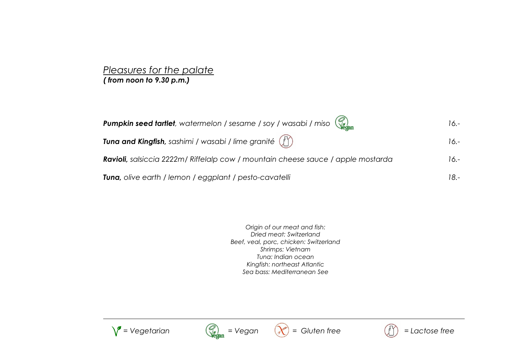#### *Pleasures for the palate ( from noon to 9.30 p.m.)*

| <b>Pumpkin seed tartlet</b> , watermelon / sesame / soy / wasabi / miso $\binom{2}{\log_2 n}$ | 16.-    |
|-----------------------------------------------------------------------------------------------|---------|
| Tuna and Kingfish, sashimi / wasabi / lime granité $\binom{N}{2}$                             | $16. -$ |
| Ravioli, salsiccia 2222m/ Riffelalp cow / mountain cheese sauce / apple mostarda              | $16. -$ |
| <b>Tuna,</b> olive earth / lemon / eggplant / pesto-cavatelli                                 | 18.-    |

*Origin of our meat and fish: Dried meat: Switzerland Beef, veal, porc, chicken: Switzerland Shrimps: Vietnam Tuna: Indian ocean Kingfish: northeast Atlantic Sea bass: Mediterranean See*









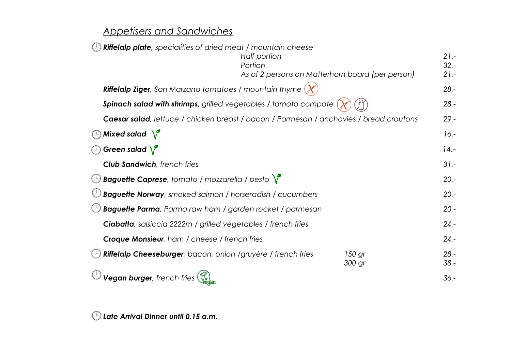## *Appetisers and Sandwiches*

| <b>Riffelalp plate</b> , specialities of dried meat / mountain cheese                  |              |                                                  |                    |
|----------------------------------------------------------------------------------------|--------------|--------------------------------------------------|--------------------|
|                                                                                        | Half portion |                                                  | $21 -$             |
|                                                                                        | Portion      |                                                  | $32 -$             |
|                                                                                        |              | As of 2 persons on Matterhorn board (per person) | $21 -$             |
| Riffelalp Ziger, San Marzano tomatoes / mountain thyme                                 |              |                                                  | $28. -$            |
| Spinach salad with shrimps, grilled vegetables / tomato compote                        |              |                                                  | $28. -$            |
| Caesar salad, lettuce / chicken breast / bacon / Parmesan / anchovies / bread croutons |              |                                                  | $29. -$            |
| Mixed salad $\sqrt{\ }$                                                                |              |                                                  | $16. -$            |
| Green salad $\sqrt{\ }$<br>$(\perp)$                                                   |              |                                                  | $14. -$            |
| <b>Club Sandwich</b> , french fries                                                    |              |                                                  | $31 -$             |
| <b>Baguette Caprese</b> , tomato / mozzarella / pesto $\sqrt{\ }$                      |              |                                                  | $20. -$            |
| <b>Baguette Norway</b> , smoked salmon / horseradish / cucumbers                       |              |                                                  | $20. -$            |
| <b>Baguette Parma</b> , Parma raw ham / garden rocket / parmesan                       |              |                                                  | $20. -$            |
| <b>Ciabatta</b> , salsiccia 2222m / grilled vegetables / french fries                  |              |                                                  | $24. -$            |
| <b>Croque Monsieur</b> , ham / cheese / french fries                                   |              |                                                  | $24. -$            |
| Riffelalp Cheeseburger, bacon, onion /gruyère / french fries                           |              | 150 gr<br>300 gr                                 | $28. -$<br>$38. -$ |
| Vegan burger, french fries                                                             |              |                                                  | $36. -$            |

*Late Arrival Dinner until 0.15 a.m.*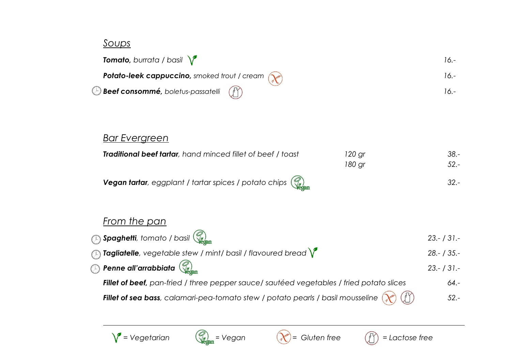### *Soups*

| <b>Tomato, burrata / basil <math>\sqrt{\phantom{a}}</math></b>                    | 16 -   |
|-----------------------------------------------------------------------------------|--------|
| <b>Potato-leek cappuccino</b> , smoked trout / cream $\left(\chi^{\mu\nu}\right)$ | 16 -   |
| $\Theta$ Beef consommé, boletus-passatelli $(\text{r})$                           | $16 -$ |

# *Bar Evergreen*

| <b>Traditional beef tartar</b> , hand minced fillet of beef / toast                                                  | 120 ar | 38.-   |
|----------------------------------------------------------------------------------------------------------------------|--------|--------|
|                                                                                                                      | 180 ar | -52.   |
| <b>Vegan tartar</b> , eggplant / tartar spices / potato chips $\left(\begin{matrix} 2 \\ 2 \\ 1 \end{matrix}\right)$ |        | $32 -$ |

## *From the pan*

| $\mathbb B$ Spaghetti, tomato / basil $\mathbb S_{\mathsf{hom}}$                                                                                            | $23 - 131 -$ |
|-------------------------------------------------------------------------------------------------------------------------------------------------------------|--------------|
| $\mathbb{D}_0$ Tagliatelle, vegetable stew / mint/ basil / flavoured bread $\bigvee$                                                                        | $28 - 135 -$ |
| $\mathbb B$ Penne all'arrabbiata $\mathbb Q_{\mathsf{com}}$                                                                                                 | $23 - 131 -$ |
| Fillet of beef, pan-fried / three pepper sauce/ sautéed vegetables / fried potato slices                                                                    | $64. -$      |
| <b>Fillet of sea bass</b> , calamari-pea-tomato stew / potato pearls / basil mousseline $\left(\chi^2\right)$ $\left(\begin{matrix}1\ 1\end{matrix}\right)$ | $52 -$       |





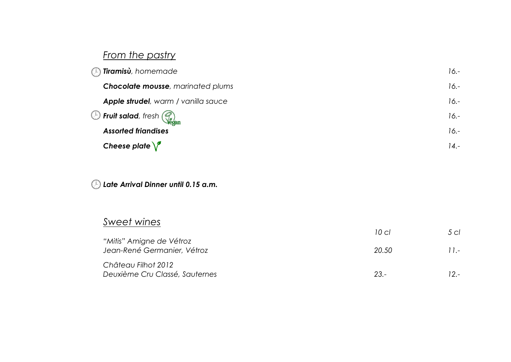# *From the pastry*

| $\circled{F}$ Tiramisù, homemade            | $16.-$  |
|---------------------------------------------|---------|
| Chocolate mousse, marinated plums           | $16.-$  |
| <b>Apple strudel</b> , warm / vanilla sauce | $16.-$  |
| $\bigcirc$ Fruit salad, fresh $\bigcirc$    | $16.-$  |
| <b>Assorted friandises</b>                  | $16.-$  |
| Cheese plate $\sqrt{\ }$                    | $14. -$ |

### *Late Arrival Dinner until 0.15 a.m.*

## *Sweet wines*

|                                                         | 10 cl  | 5 cl   |
|---------------------------------------------------------|--------|--------|
| "Mitis" Amigne de Vétroz<br>Jean-René Germanier, Vétroz | 20.50  | $11 -$ |
| Château Filhot 2012<br>Deuxième Cru Classé, Sauternes   | $23 -$ | $12 -$ |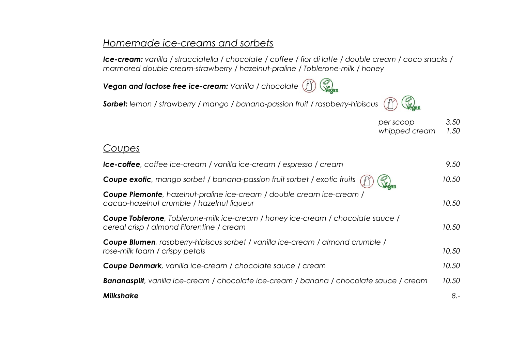### *Homemade ice-creams and sorbets*

*Ice-cream: vanilla / stracciatella / chocolate / coffee / fior di latte / double cream / coco snacks / marmored double cream-strawberry / hazelnut-praline / Toblerone-milk / honey*

**Com** *Vegan and lactose free ice-cream: Vanilla / chocolate*

*Sorbet: lemon / strawberry / mango / banana-passion fruit / raspberry-hibiscus*



| per scoop     | 3.50 |
|---------------|------|
| whipped cream | 1.50 |

#### *Coupes*

| Ice-coffee, coffee ice-cream / vanilla ice-cream / espresso / cream                                                         | 9.50  |
|-----------------------------------------------------------------------------------------------------------------------------|-------|
| Coupe exotic, mango sorbet / banana-passion fruit sorbet / exotic fruits                                                    | 10.50 |
| Coupe Piemonte, hazelnut-praline ice-cream / double cream ice-cream /<br>cacao-hazelnut crumble / hazelnut liqueur          | 10.50 |
| Coupe Toblerone, Toblerone-milk ice-cream / honey ice-cream / chocolate sauce /<br>cereal crisp / almond Florentine / cream | 10.50 |
| <b>Coupe Blumen</b> , raspberry-hibiscus sorbet / vanilla ice-cream / almond crumble /<br>rose-milk foam / crispy petals    | 10.50 |
| <b>Coupe Denmark</b> , vanilla ice-cream / chocolate sauce / cream                                                          | 10.50 |
| <b>Bananasplit</b> , vanilla ice-cream / chocolate ice-cream / banana / chocolate sauce / cream                             | 10.50 |
| <b>Milkshake</b>                                                                                                            | $8 -$ |